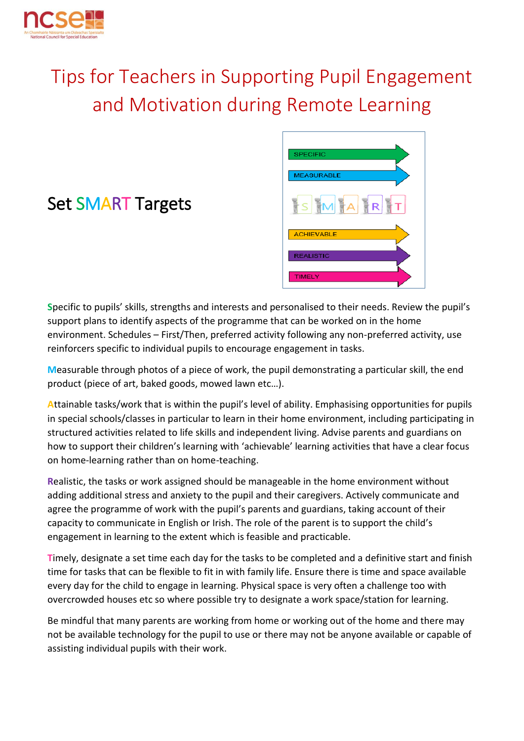

# Tips for Teachers in Supporting Pupil Engagement and Motivation during Remote Learning



## Set SMART Targets

**S**pecific to pupils' skills, strengths and interests and personalised to their needs. Review the pupil's support plans to identify aspects of the programme that can be worked on in the home environment. Schedules – First/Then, preferred activity following any non-preferred activity, use reinforcers specific to individual pupils to encourage engagement in tasks.

**M**easurable through photos of a piece of work, the pupil demonstrating a particular skill, the end product (piece of art, baked goods, mowed lawn etc…).

**A**ttainable tasks/work that is within the pupil's level of ability. Emphasising opportunities for pupils in special schools/classes in particular to learn in their home environment, including participating in structured activities related to life skills and independent living. Advise parents and guardians on how to support their children's learning with 'achievable' learning activities that have a clear focus on home-learning rather than on home-teaching.

**R**ealistic, the tasks or work assigned should be manageable in the home environment without adding additional stress and anxiety to the pupil and their caregivers. Actively communicate and agree the programme of work with the pupil's parents and guardians, taking account of their capacity to communicate in English or Irish. The role of the parent is to support the child's engagement in learning to the extent which is feasible and practicable.

**T**imely, designate a set time each day for the tasks to be completed and a definitive start and finish time for tasks that can be flexible to fit in with family life. Ensure there is time and space available every day for the child to engage in learning. Physical space is very often a challenge too with overcrowded houses etc so where possible try to designate a work space/station for learning.

Be mindful that many parents are working from home or working out of the home and there may not be available technology for the pupil to use or there may not be anyone available or capable of assisting individual pupils with their work.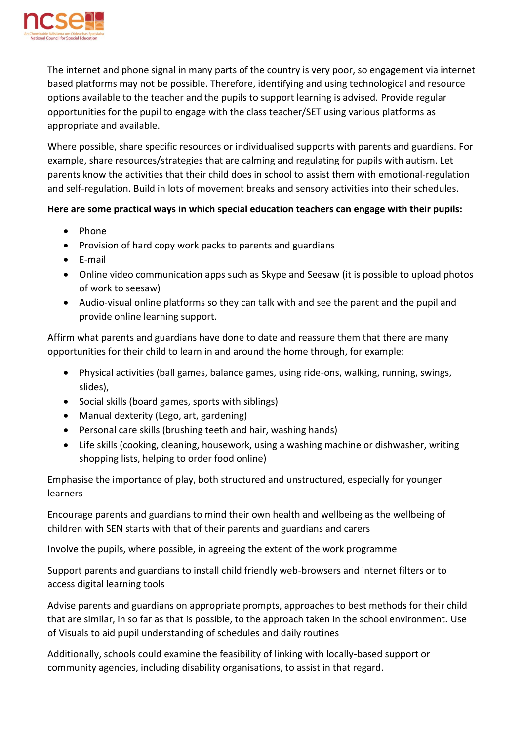

The internet and phone signal in many parts of the country is very poor, so engagement via internet based platforms may not be possible. Therefore, identifying and using technological and resource options available to the teacher and the pupils to support learning is advised. Provide regular opportunities for the pupil to engage with the class teacher/SET using various platforms as appropriate and available.

Where possible, share specific resources or individualised supports with parents and guardians. For example, share resources/strategies that are calming and regulating for pupils with autism. Let parents know the activities that their child does in school to assist them with emotional-regulation and self-regulation. Build in lots of movement breaks and sensory activities into their schedules.

#### **Here are some practical ways in which special education teachers can engage with their pupils:**

- Phone
- Provision of hard copy work packs to parents and guardians
- E-mail
- Online video communication apps such as Skype and Seesaw (it is possible to upload photos of work to seesaw)
- Audio-visual online platforms so they can talk with and see the parent and the pupil and provide online learning support.

Affirm what parents and guardians have done to date and reassure them that there are many opportunities for their child to learn in and around the home through, for example:

- Physical activities (ball games, balance games, using ride-ons, walking, running, swings, slides),
- Social skills (board games, sports with siblings)
- Manual dexterity (Lego, art, gardening)
- Personal care skills (brushing teeth and hair, washing hands)
- Life skills (cooking, cleaning, housework, using a washing machine or dishwasher, writing shopping lists, helping to order food online)

Emphasise the importance of play, both structured and unstructured, especially for younger learners

Encourage parents and guardians to mind their own health and wellbeing as the wellbeing of children with SEN starts with that of their parents and guardians and carers

Involve the pupils, where possible, in agreeing the extent of the work programme

Support parents and guardians to install child friendly web-browsers and internet filters or to access digital learning tools

Advise parents and guardians on appropriate prompts, approaches to best methods for their child that are similar, in so far as that is possible, to the approach taken in the school environment. Use of Visuals to aid pupil understanding of schedules and daily routines

Additionally, schools could examine the feasibility of linking with locally-based support or community agencies, including disability organisations, to assist in that regard.